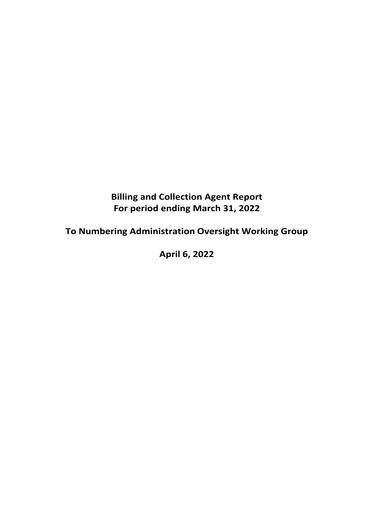## **Billing and Collection Agent Report For period ending March 31, 2022**

# **To Numbering Administration Oversight Working Group**

**April 6, 2022**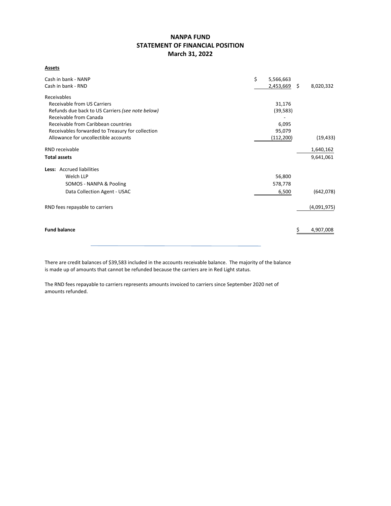## **NANPA FUND STATEMENT OF FINANCIAL POSITION March 31, 2022**

**Assets**

| Cash in bank - NANP                              | \$<br>5,566,663 |     |             |
|--------------------------------------------------|-----------------|-----|-------------|
| Cash in bank - RND                               | 2,453,669       | -\$ | 8,020,332   |
| Receivables                                      |                 |     |             |
| Receivable from US Carriers                      | 31,176          |     |             |
| Refunds due back to US Carriers (see note below) | (39, 583)       |     |             |
| Receivable from Canada                           |                 |     |             |
| Receivable from Caribbean countries              | 6,095           |     |             |
| Receivables forwarded to Treasury for collection | 95,079          |     |             |
| Allowance for uncollectible accounts             | (112, 200)      |     | (19, 433)   |
| RND receivable                                   |                 |     | 1,640,162   |
| <b>Total assets</b>                              |                 |     | 9,641,061   |
| Less: Accrued liabilities                        |                 |     |             |
| Welch LLP                                        | 56,800          |     |             |
| SOMOS - NANPA & Pooling                          | 578,778         |     |             |
| Data Collection Agent - USAC                     | 6,500           |     | (642,078)   |
| RND fees repayable to carriers                   |                 |     | (4,091,975) |
|                                                  |                 |     |             |
| <b>Fund balance</b>                              |                 |     | 4,907,008   |
|                                                  |                 |     |             |

There are credit balances of \$39,583 included in the accounts receivable balance. The majority of the balance is made up of amounts that cannot be refunded because the carriers are in Red Light status.

The RND fees repayable to carriers represents amounts invoiced to carriers since September 2020 net of amounts refunded.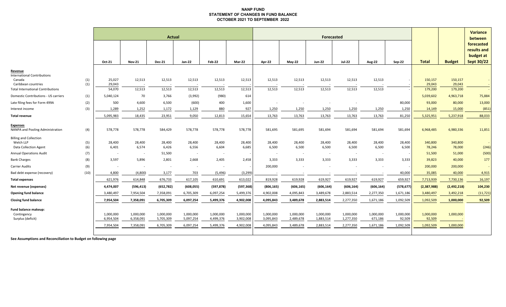#### **NANP FUND STATEMENT OF CHANGES IN FUND BALANCE OCTOBER 2021 TO SEPTEMBER 2022**

|                                                                            |            | <b>Actual</b>          |                        |                        |                        |                          |                        |                        |                        |                        |                        | <b>Variance</b><br>between |                     |                     |                   |                                                      |
|----------------------------------------------------------------------------|------------|------------------------|------------------------|------------------------|------------------------|--------------------------|------------------------|------------------------|------------------------|------------------------|------------------------|----------------------------|---------------------|---------------------|-------------------|------------------------------------------------------|
|                                                                            |            | Oct-21                 | <b>Nov-21</b>          | <b>Dec-21</b>          | <b>Jan-22</b>          | <b>Feb-22</b>            | Mar-22                 | Apr-22                 | $May-22$               | <b>Jun-22</b>          | <b>Jul-22</b>          | <b>Aug-22</b>              | <b>Sep-22</b>       | <b>Total</b>        | <b>Budget</b>     | forecasted<br>results and<br>budget at<br>Sept 30/22 |
| Revenue<br><b>International Contributions</b><br>Canada                    |            | 25,027                 | 12,513                 | 12,513                 | 12,513                 | 12,513                   | 12,513                 | 12,513                 | 12,513                 | 12,513                 | 12,513                 | 12,513                     |                     | 150,157             | 150,157           |                                                      |
| Caribbean countries                                                        | (1)<br>(1) | 29,043                 |                        |                        |                        |                          |                        |                        |                        |                        |                        |                            |                     | 29,043              | 29,043            |                                                      |
| <b>Total International Contributions</b>                                   |            | 54,070                 | 12,513                 | 12,513                 | 12,513                 | 12,513                   | 12,513                 | 12,513                 | 12,513                 | 12,513                 | 12,513                 | 12,513                     |                     | 179,200             | 179,200           |                                                      |
| Domestic Contributions - US carriers                                       | (1)        | 5,040,124              | 70                     | 3,766                  | (3,992)                | (980)                    | 614                    |                        |                        |                        |                        |                            |                     | 5,039,602           | 4,963,718         | 75,884                                               |
| Late filing fees for Form 499A                                             | (2)        | 500                    | 4,600                  | 6,500                  | (600)                  | 400                      | 1,600                  |                        |                        |                        |                        |                            | 80,000              | 93,000              | 80,000            | 13,000                                               |
| Interest income                                                            | (3)        | 1,289                  | 1,252                  | 1,172                  | 1,129                  | 880                      | 927                    | 1,250                  | 1,250                  | 1,250                  | 1,250                  | 1,250                      | 1,250               | 14,149              | 15,000            | (851)                                                |
| <b>Total revenue</b>                                                       |            | 5,095,983              | 18,435                 | 23,951                 | 9,050                  | 12,813                   | 15,654                 | 13,763                 | 13,763                 | 13,763                 | 13,763                 | 13,763                     | 81,250              | 5,325,951           | 5,237,918         | 88,033                                               |
| <b>Expenses</b><br>NANPA and Pooling Administration                        | (4)        | 578,778                | 578,778                | 584,429                | 578,778                | 578,778                  | 578,778                | 581,695                | 581,695                | 581,694                | 581,694                | 581,694                    | 581,694             | 6,968,485           | 6,980,336         | 11,851                                               |
| <b>Billing and Collection</b><br>Welch LLP<br><b>Data Collection Agent</b> | (5)<br>(6) | 28,400<br>6,401        | 28,400<br>6,574        | 28,400<br>6,426        | 28,400<br>6,556        | 28,400<br>6,604          | 28,400<br>6,685        | 28,400<br>6,500        | 28,400<br>6,500        | 28,400<br>6,500        | 28,400<br>6,500        | 28,400<br>6,500            | 28,400<br>6,500     | 340,800<br>78,246   | 340,800<br>78,000 | (246)                                                |
| <b>Annual Operations Audit</b>                                             | (7)        | $\sim$                 |                        | 51,500                 | $\sim$                 | $\overline{\phantom{a}}$ |                        | $\sim$                 | $\sim$                 | $\sim$                 | $\sim$                 | $\sim$                     |                     | 51,500              | 51,000            | (500)                                                |
| <b>Bank Charges</b>                                                        | (8)        | 3,597                  | 5,896                  | 2,801                  | 2,668                  | 2,405                    | 2,458                  | 3,333                  | 3,333                  | 3,333                  | 3,333                  | 3,333                      | 3,333               | 39,823              | 40,000            | 177                                                  |
| <b>Carrier Audits</b>                                                      | (9)        |                        |                        |                        |                        |                          |                        | 200,000                |                        |                        |                        |                            |                     | 200,000             | 200,000           |                                                      |
| Bad debt expense (recovery)                                                | (10)       | 4,800                  | (4,800)                | 3,177                  | 703                    | (5, 496)                 | (3, 299)               |                        |                        |                        |                        |                            | 40,000              | 35,085              | 40,000            | 4,915                                                |
| <b>Total expenses</b>                                                      |            | 621,976                | 614,848                | 676,733                | 617,105                | 610,691                  | 613,022                | 819,928                | 619,928                | 619,927                | 619,927                | 619,927                    | 659,927             | 7,713,939           | 7,730,136         | 16,197                                               |
| Net revenue (expenses)                                                     |            | 4,474,007              | (596, 413)             | (652, 782)             | (608, 055)             | (597, 878)               | (597, 368)             | (806, 165)             | (606, 165)             | (606, 164)             | (606, 164)             | (606, 164)                 | (578, 677)          | (2,387,988)         | (2,492,218)       | 104,230                                              |
| <b>Opening fund balance</b>                                                |            | 3,480,497              | 7,954,504              | 7,358,091              | 6,705,309              | 6,097,254                | 5,499,376              | 4,902,008              | 4,095,843              | 3,489,678              | 2,883,514              | 2,277,350                  | 1,671,186           | 3,480,497           | 3,492,218         | (11, 721)                                            |
| <b>Closing fund balance</b>                                                |            | 7,954,504              | 7,358,091              | 6,705,309              | 6,097,254              | 5,499,376                | 4,902,008              | 4,095,843              | 3,489,678              | 2,883,514              | 2,277,350              | 1,671,186                  | 1,092,509           | 1,092,509           | 1,000,000         | 92,509                                               |
| Fund balance makeup:<br>Contingency<br>Surplus (deficit)                   |            | 1,000,000<br>6,954,504 | 1,000,000<br>6,358,091 | 1,000,000<br>5,705,309 | 1,000,000<br>5,097,254 | 1,000,000<br>4,499,376   | 1,000,000<br>3,902,008 | 1,000,000<br>3,095,843 | 1,000,000<br>2,489,678 | 1,000,000<br>1,883,514 | 1,000,000<br>1,277,350 | 1,000,000<br>671,186       | 1,000,000<br>92,509 | 1,000,000<br>92,509 | 1,000,000         |                                                      |
|                                                                            |            | 7,954,504              | 7,358,091              | 6,705,309              | 6,097,254              | 5,499,376                | 4,902,008              | 4,095,843              | 3,489,678              | 2,883,514              | 2,277,350              | 1,671,186                  | 1,092,509           | 1,092,509           | 1,000,000         |                                                      |

**See Assumptions and Reconciliation to Budget on following page**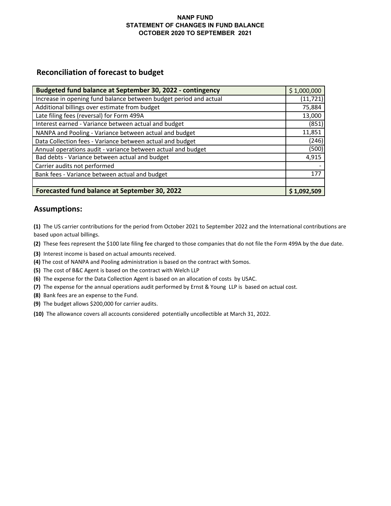### **NANP FUND STATEMENT OF CHANGES IN FUND BALANCE OCTOBER 2020 TO SEPTEMBER 2021**

## **Reconciliation of forecast to budget**

| Budgeted fund balance at September 30, 2022 - contingency         | \$1,000,000 |
|-------------------------------------------------------------------|-------------|
| Increase in opening fund balance between budget period and actual | (11, 721)   |
| Additional billings over estimate from budget                     | 75,884      |
| Late filing fees (reversal) for Form 499A                         | 13,000      |
| Interest earned - Variance between actual and budget              | (851)       |
| NANPA and Pooling - Variance between actual and budget            | 11,851      |
| Data Collection fees - Variance between actual and budget         | (246)       |
| Annual operations audit - variance between actual and budget      | (500)       |
| Bad debts - Variance between actual and budget                    | 4,915       |
| Carrier audits not performed                                      |             |
| Bank fees - Variance between actual and budget                    | 177         |
|                                                                   |             |
| Forecasted fund balance at September 30, 2022                     | \$1,092,509 |

## **Assumptions:**

**(1)** The US carrier contributions for the period from October 2021 to September 2022 and the International contributions are based upon actual billings.

**(2)** These fees represent the \$100 late filing fee charged to those companies that do not file the Form 499A by the due date.

- **(3)** Interest income is based on actual amounts received.
- **(4)** The cost of NANPA and Pooling administration is based on the contract with Somos.
- **(5)** The cost of B&C Agent is based on the contract with Welch LLP
- **(6)** The expense for the Data Collection Agent is based on an allocation of costs by USAC.
- **(7)** The expense for the annual operations audit performed by Ernst & Young LLP is based on actual cost.
- **(8)** Bank fees are an expense to the Fund.
- **(9)** The budget allows \$200,000 for carrier audits.
- **(10)** The allowance covers all accounts considered potentially uncollectible at March 31, 2022.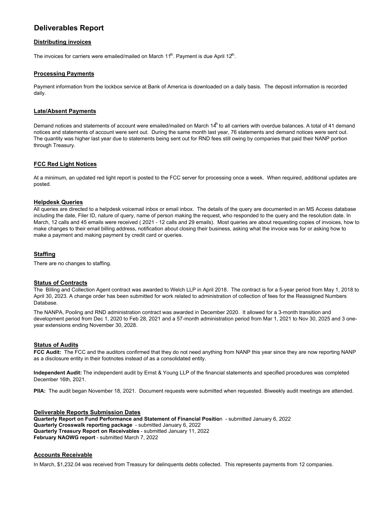## **Deliverables Report**

#### **Distributing invoices**

The invoices for carriers were emailed/mailed on March 11<sup>th</sup>. Payment is due April 12<sup>th</sup>.

#### **Processing Payments**

Payment information from the lockbox service at Bank of America is downloaded on a daily basis. The deposit information is recorded daily.

#### **Late/Absent Payments**

Demand notices and statements of account were emailed/mailed on March  $14^h$  to all carriers with overdue balances. A total of 41 demand notices and statements of account were sent out. During the same month last year, 76 statements and demand notices were sent out. The quantity was higher last year due to statements being sent out for RND fees still owing by companies that paid their NANP portion through Treasury.

#### **FCC Red Light Notices**

At a minimum, an updated red light report is posted to the FCC server for processing once a week. When required, additional updates are posted.

#### **Helpdesk Queries**

All queries are directed to a helpdesk voicemail inbox or email inbox. The details of the query are documented in an MS Access database including the date, Filer ID, nature of query, name of person making the request, who responded to the query and the resolution date. In March, 12 calls and 45 emails were received ( 2021 - 12 calls and 29 emails). Most queries are about requesting copies of invoices, how to make changes to their email billing address, notification about closing their business, asking what the invoice was for or asking how to make a payment and making payment by credit card or queries.

#### **Staffing**

There are no changes to staffing.

#### **Status of Contracts**

The Billing and Collection Agent contract was awarded to Welch LLP in April 2018. The contract is for a 5-year period from May 1, 2018 to April 30, 2023. A change order has been submitted for work related to administration of collection of fees for the Reassigned Numbers Database.

The NANPA, Pooling and RND administration contract was awarded in December 2020. It allowed for a 3-month transition and development period from Dec 1, 2020 to Feb 28, 2021 and a 57-month administration period from Mar 1, 2021 to Nov 30, 2025 and 3 oneyear extensions ending November 30, 2028.

#### **Status of Audits**

**FCC Audit:** The FCC and the auditors confirmed that they do not need anything from NANP this year since they are now reporting NANP as a disclosure entity in their footnotes instead of as a consolidated entity.

**Independent Audit:** The independent audit by Ernst & Young LLP of the financial statements and specified procedures was completed December 16th, 2021.

**PIIA:** The audit began November 18, 2021. Document requests were submitted when requested. Biweekly audit meetings are attended.

#### **Deliverable Reports Submission Dates**

**Quarterly Report on Fund Performance and Statement of Financial Positio**n - submitted January 6, 2022 **Quarterly Crosswalk reporting package** - submitted January 6, 2022 **Quarterly Treasury Report on Receivables** - submitted January 11, 2022 **February NAOWG report** - submitted March 7, 2022

#### **Accounts Receivable**

In March, \$1,232.04 was received from Treasury for delinquents debts collected. This represents payments from 12 companies.